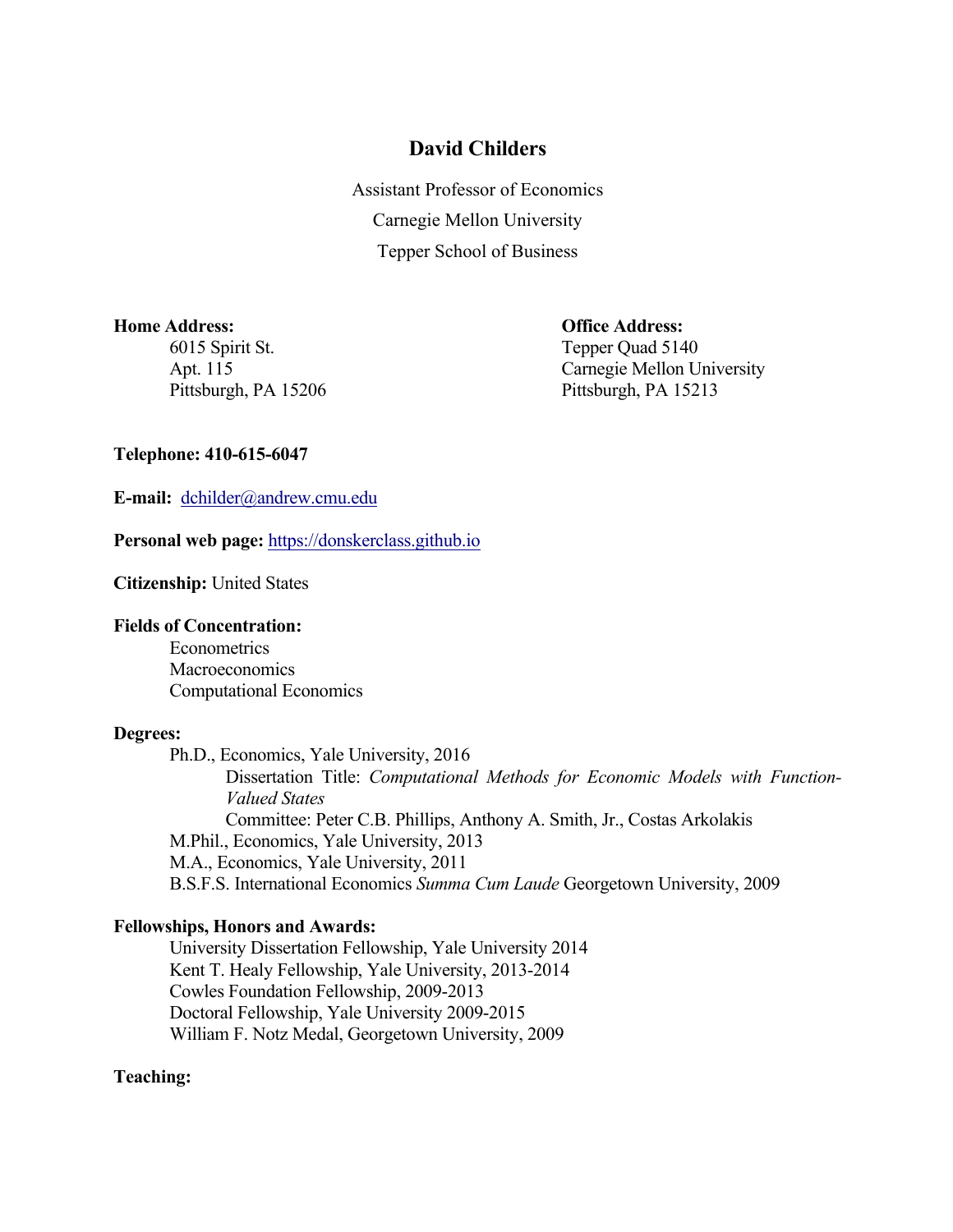# **David Childers**

Assistant Professor of Economics Carnegie Mellon University Tepper School of Business

## **Home Address: Office Address:**

6015 Spirit St. Tepper Quad 5140

Apt. 115 Carnegie Mellon University Pittsburgh, PA 15206 Pittsburgh, PA 15213

## **Telephone: 410-615-6047**

**E-mail:** dchilder@andrew.cmu.edu

**Personal web page:** https://donskerclass.github.io

**Citizenship:** United States

# **Fields of Concentration:**

Econometrics **Macroeconomics** Computational Economics

#### **Degrees:**

Ph.D., Economics, Yale University, 2016 Dissertation Title: *Computational Methods for Economic Models with Function-Valued States* Committee: Peter C.B. Phillips, Anthony A. Smith, Jr., Costas Arkolakis M.Phil., Economics, Yale University, 2013 M.A., Economics, Yale University, 2011 B.S.F.S. International Economics *Summa Cum Laude* Georgetown University, 2009

## **Fellowships, Honors and Awards:**

University Dissertation Fellowship, Yale University 2014 Kent T. Healy Fellowship, Yale University, 2013-2014 Cowles Foundation Fellowship, 2009-2013 Doctoral Fellowship, Yale University 2009-2015 William F. Notz Medal, Georgetown University, 2009

## **Teaching:**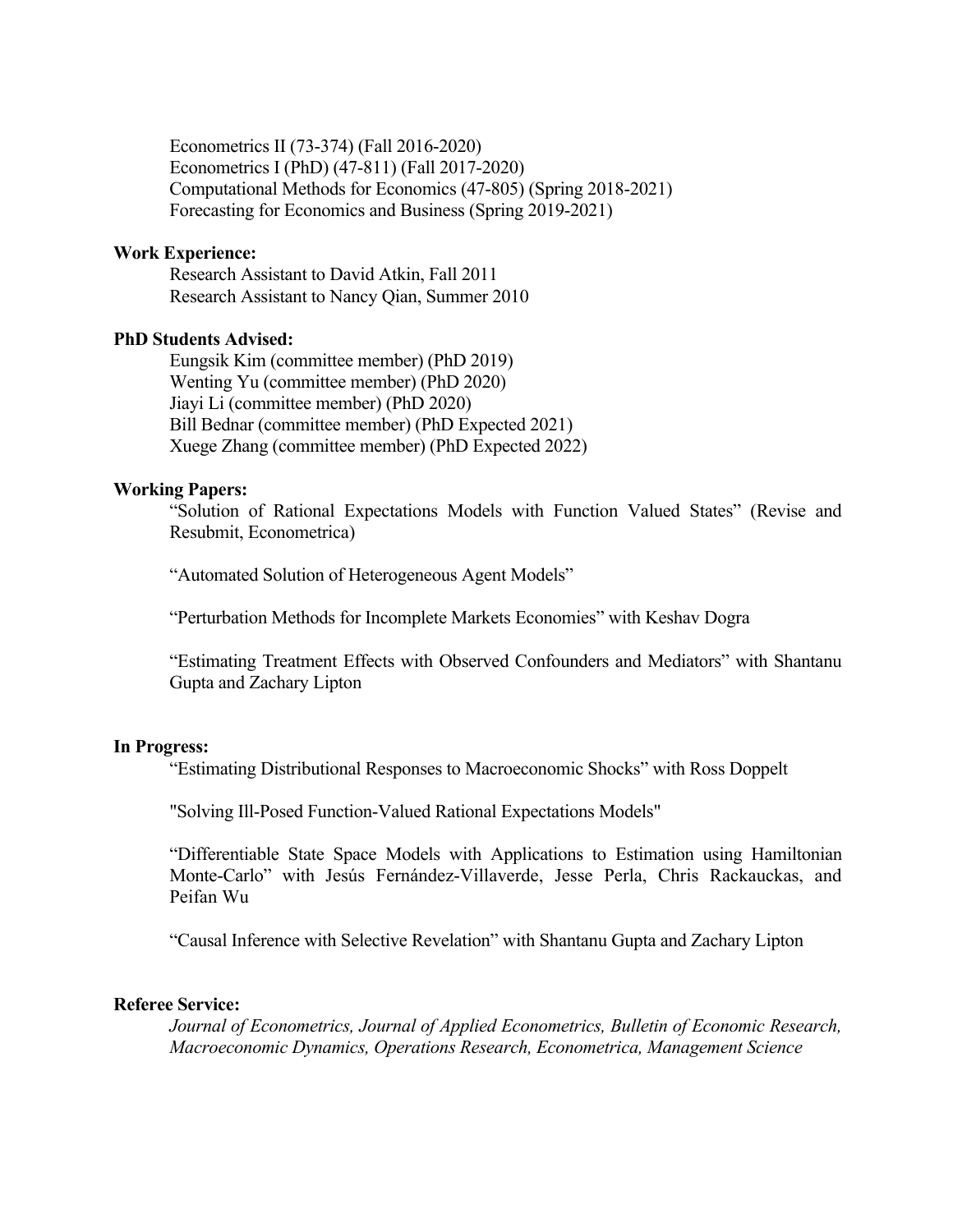Econometrics II (73-374) (Fall 2016-2020) Econometrics I (PhD) (47-811) (Fall 2017-2020) Computational Methods for Economics (47-805) (Spring 2018-2021) Forecasting for Economics and Business (Spring 2019-2021)

### **Work Experience:**

Research Assistant to David Atkin, Fall 2011 Research Assistant to Nancy Qian, Summer 2010

#### **PhD Students Advised:**

Eungsik Kim (committee member) (PhD 2019) Wenting Yu (committee member) (PhD 2020) Jiayi Li (committee member) (PhD 2020) Bill Bednar (committee member) (PhD Expected 2021) Xuege Zhang (committee member) (PhD Expected 2022)

#### **Working Papers:**

"Solution of Rational Expectations Models with Function Valued States" (Revise and Resubmit, Econometrica)

"Automated Solution of Heterogeneous Agent Models"

"Perturbation Methods for Incomplete Markets Economies" with Keshav Dogra

"Estimating Treatment Effects with Observed Confounders and Mediators" with Shantanu Gupta and Zachary Lipton

#### **In Progress:**

"Estimating Distributional Responses to Macroeconomic Shocks" with Ross Doppelt

"Solving Ill-Posed Function-Valued Rational Expectations Models"

"Differentiable State Space Models with Applications to Estimation using Hamiltonian Monte-Carlo" with Jesús Fernández-Villaverde, Jesse Perla, Chris Rackauckas, and Peifan Wu

"Causal Inference with Selective Revelation" with Shantanu Gupta and Zachary Lipton

#### **Referee Service:**

*Journal of Econometrics, Journal of Applied Econometrics, Bulletin of Economic Research, Macroeconomic Dynamics, Operations Research, Econometrica, Management Science*